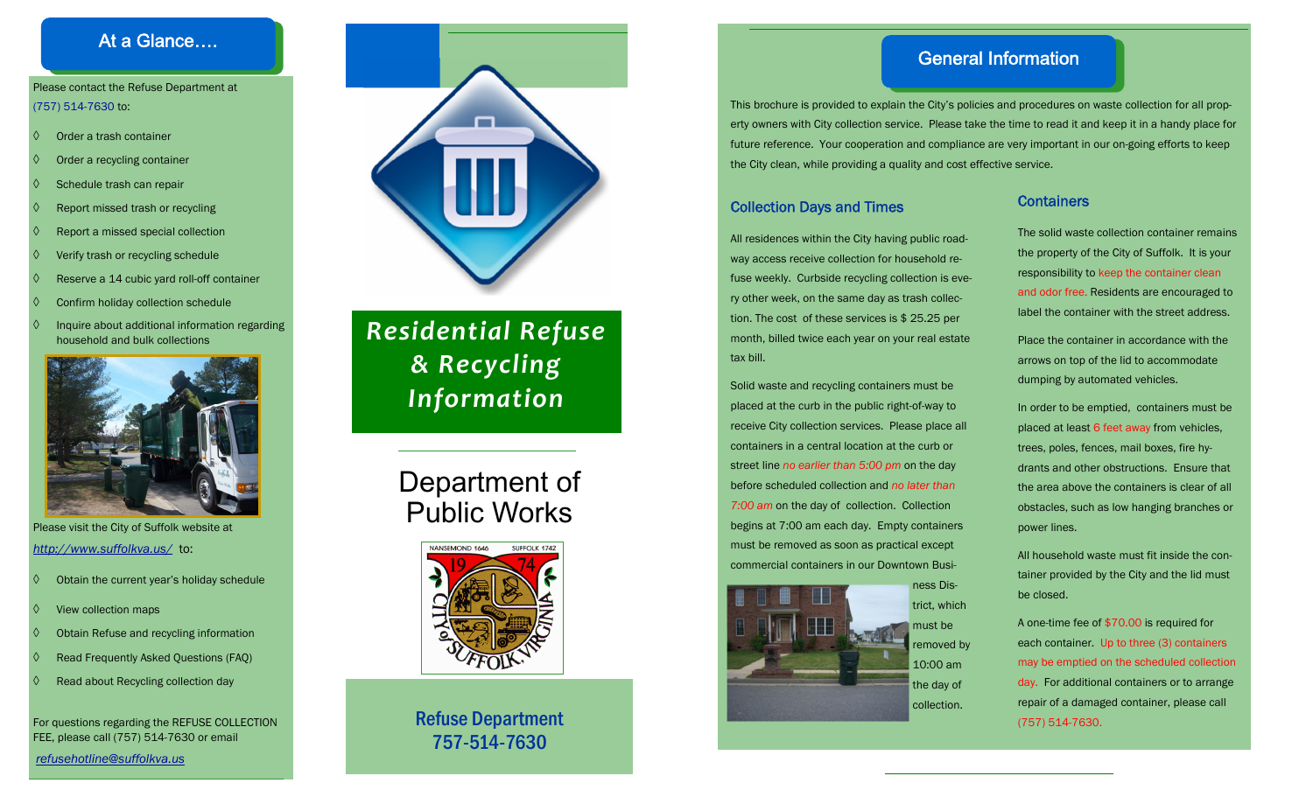## At a Glance….

#### Please contact the Refuse Department at (757) 514-7630 to:

- ♦ Order a trash container
- $\Diamond$ Order a recycling container
- ♦ Schedule trash can repair
- ♦ Report missed trash or recycling
- ♦ Report a missed special collection
- ♦ Verify trash or recycling schedule
- ♦ Reserve a 14 cubic yard roll-off container
- ♦ Confirm holiday collection schedule
- ♦ Inquire about additional information regarding household and bulk collections



Please visit the City of Suffolk website at *http://www.suffolkva.us/* to:

- ♦ Obtain the current year's holiday schedule
- ♦ View collection maps
- ♦ Obtain Refuse and recycling information
- ♦ Read Frequently Asked Questions (FAQ)
- ♦ Read about Recycling collection day

For questions regarding the REFUSE COLLECTION FEE, please call (757) 514-7630 or email

*refusehotline@suffolkva.us* 



# *Residential Refuse & Recycling Information*

# Department of Public Works



# Refuse Department 757-514-7630

# General Information

This brochure is provided to explain the City's policies and procedures on waste collection for all property owners with City collection service. Please take the time to read it and keep it in a handy place for future reference. Your cooperation and compliance are very important in our on-going efforts to keep the City clean, while providing a quality and cost effective service.

### Collection Days and Times

All residences within the City having public roadway access receive collection for household refuse weekly. Curbside recycling collection is every other week, on the same day as trash collection. The cost of these services is \$ 25.25 per month, billed twice each year on your real estate tax bill.

Solid waste and recycling containers must be placed at the curb in the public right-of-way to receive City collection services. Please place all containers in a central location at the curb or street line *no earlier than 5:00 pm* on the day before scheduled collection and *no later than 7:00 am* on the day of collection. Collection begins at 7:00 am each day. Empty containers must be removed as soon as practical except commercial containers in our Downtown Busi-



#### **Containers**

The solid waste collection container remains the property of the City of Suffolk. It is your responsibility to keep the container clean and odor free. Residents are encouraged to label the container with the street address.

Place the container in accordance with the arrows on top of the lid to accommodate dumping by automated vehicles.

In order to be emptied, containers must be placed at least 6 feet away from vehicles, trees, poles, fences, mail boxes, fire hydrants and other obstructions. Ensure that the area above the containers is clear of all obstacles, such as low hanging branches or power lines.

All household waste must fit inside the container provided by the City and the lid must be closed.

A one-time fee of \$70.00 is required for each container. Up to three (3) containers may be emptied on the scheduled collection day. For additional containers or to arrange repair of a damaged container, please call (757) 514-7630.